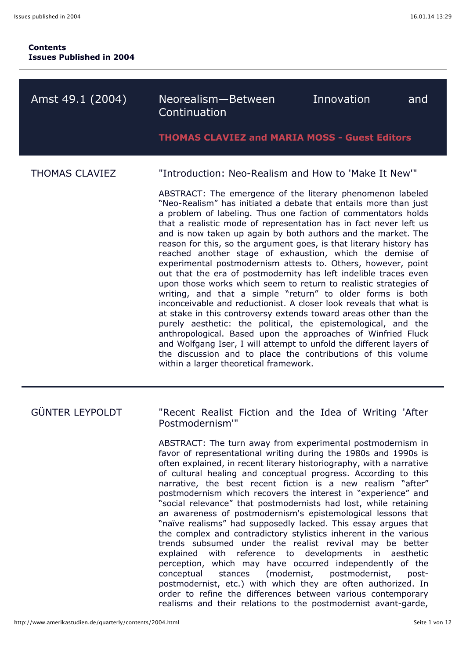| Amst 49.1 (2004)       | Neorealism-Between<br>Continuation<br><b>THOMAS CLAVIEZ and MARIA MOSS - Guest Editors</b>                                                                                                                                                                                                                                                                                                                                                                                                                                                                                                                                                                                                                                                                                                                                                                                                                                                                                                                                                                                                                                                                                                                                                                          | Innovation<br>and       |
|------------------------|---------------------------------------------------------------------------------------------------------------------------------------------------------------------------------------------------------------------------------------------------------------------------------------------------------------------------------------------------------------------------------------------------------------------------------------------------------------------------------------------------------------------------------------------------------------------------------------------------------------------------------------------------------------------------------------------------------------------------------------------------------------------------------------------------------------------------------------------------------------------------------------------------------------------------------------------------------------------------------------------------------------------------------------------------------------------------------------------------------------------------------------------------------------------------------------------------------------------------------------------------------------------|-------------------------|
| <b>THOMAS CLAVIEZ</b>  | "Introduction: Neo-Realism and How to 'Make It New'"<br>ABSTRACT: The emergence of the literary phenomenon labeled<br>"Neo-Realism" has initiated a debate that entails more than just<br>a problem of labeling. Thus one faction of commentators holds<br>that a realistic mode of representation has in fact never left us<br>and is now taken up again by both authors and the market. The<br>reason for this, so the argument goes, is that literary history has<br>reached another stage of exhaustion, which the demise of<br>experimental postmodernism attests to. Others, however, point<br>out that the era of postmodernity has left indelible traces even<br>upon those works which seem to return to realistic strategies of<br>writing, and that a simple "return" to older forms is both<br>inconceivable and reductionist. A closer look reveals that what is<br>at stake in this controversy extends toward areas other than the<br>purely aesthetic: the political, the epistemological, and the<br>anthropological. Based upon the approaches of Winfried Fluck<br>and Wolfgang Iser, I will attempt to unfold the different layers of<br>the discussion and to place the contributions of this volume<br>within a larger theoretical framework. |                         |
| <b>GÜNTER LEYPOLDT</b> | "Recent Realist Fiction and the Idea of Writing 'After<br>Postmodernism"<br>ABSTRACT: The turn away from experimental postmodernism in<br>favor of representational writing during the 1980s and 1990s is<br>often explained, in recent literary historiography, with a narrative<br>of cultural healing and conceptual progress. According to this<br>narrative, the best recent fiction is a new realism "after"<br>postmodernism which recovers the interest in "experience" and<br>"social relevance" that postmodernists had lost, while retaining<br>an awareness of postmodernism's epistemological lessons that<br>"naïve realisms" had supposedly lacked. This essay argues that<br>the complex and contradictory stylistics inherent in the various<br>trends subsumed under the realist revival may be better<br>explained with reference to developments in aesthetic<br>perception, which may have occurred independently of the<br>(modernist,<br>conceptual<br>stances<br>postmodernist, etc.) with which they are often authorized. In<br>order to refine the differences between various contemporary<br>realisms and their relations to the postmodernist avant-garde,                                                                            | postmodernist,<br>post- |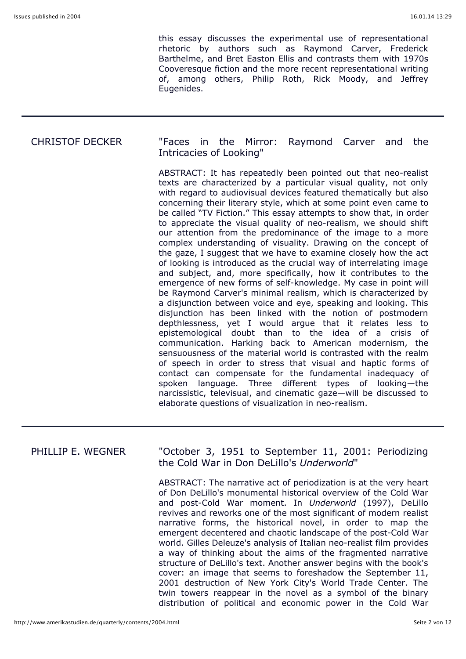this essay discusses the experimental use of representational rhetoric by authors such as Raymond Carver, Frederick Barthelme, and Bret Easton Ellis and contrasts them with 1970s Cooveresque fiction and the more recent representational writing of, among others, Philip Roth, Rick Moody, and Jeffrey Eugenides.

### CHRISTOF DECKER "Faces in the Mirror: Raymond Carver and the Intricacies of Looking"

ABSTRACT: It has repeatedly been pointed out that neo-realist texts are characterized by a particular visual quality, not only with regard to audiovisual devices featured thematically but also concerning their literary style, which at some point even came to be called "TV Fiction." This essay attempts to show that, in order to appreciate the visual quality of neo-realism, we should shift our attention from the predominance of the image to a more complex understanding of visuality. Drawing on the concept of the gaze, I suggest that we have to examine closely how the act of looking is introduced as the crucial way of interrelating image and subject, and, more specifically, how it contributes to the emergence of new forms of self-knowledge. My case in point will be Raymond Carver's minimal realism, which is characterized by a disjunction between voice and eye, speaking and looking. This disjunction has been linked with the notion of postmodern depthlessness, yet I would argue that it relates less to epistemological doubt than to the idea of a crisis of communication. Harking back to American modernism, the sensuousness of the material world is contrasted with the realm of speech in order to stress that visual and haptic forms of contact can compensate for the fundamental inadequacy of spoken language. Three different types of looking—the narcissistic, televisual, and cinematic gaze—will be discussed to elaborate questions of visualization in neo-realism.

#### PHILLIP E. WEGNER "October 3, 1951 to September 11, 2001: Periodizing the Cold War in Don DeLillo's *Underworld*"

ABSTRACT: The narrative act of periodization is at the very heart of Don DeLillo's monumental historical overview of the Cold War and post-Cold War moment. In *Underworld* (1997), DeLillo revives and reworks one of the most significant of modern realist narrative forms, the historical novel, in order to map the emergent decentered and chaotic landscape of the post-Cold War world. Gilles Deleuze's analysis of Italian neo-realist film provides a way of thinking about the aims of the fragmented narrative structure of DeLillo's text. Another answer begins with the book's cover: an image that seems to foreshadow the September 11, 2001 destruction of New York City's World Trade Center. The twin towers reappear in the novel as a symbol of the binary distribution of political and economic power in the Cold War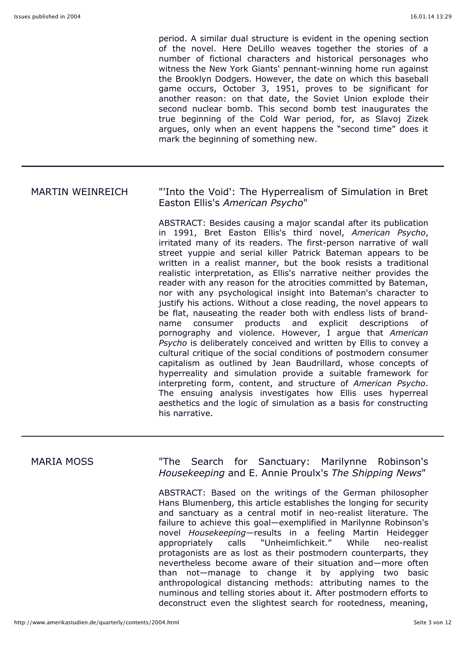period. A similar dual structure is evident in the opening section of the novel. Here DeLillo weaves together the stories of a number of fictional characters and historical personages who witness the New York Giants' pennant-winning home run against the Brooklyn Dodgers. However, the date on which this baseball game occurs, October 3, 1951, proves to be significant for another reason: on that date, the Soviet Union explode their second nuclear bomb. This second bomb test inaugurates the true beginning of the Cold War period, for, as Slavoj Zizek argues, only when an event happens the "second time" does it mark the beginning of something new.

# MARTIN WEINREICH "'Into the Void': The Hyperrealism of Simulation in Bret Easton Ellis's *American Psycho*"

ABSTRACT: Besides causing a major scandal after its publication in 1991, Bret Easton Ellis's third novel, *American Psycho*, irritated many of its readers. The first-person narrative of wall street yuppie and serial killer Patrick Bateman appears to be written in a realist manner, but the book resists a traditional realistic interpretation, as Ellis's narrative neither provides the reader with any reason for the atrocities committed by Bateman, nor with any psychological insight into Bateman's character to justify his actions. Without a close reading, the novel appears to be flat, nauseating the reader both with endless lists of brandname consumer products and explicit descriptions of pornography and violence. However, I argue that *American Psycho* is deliberately conceived and written by Ellis to convey a cultural critique of the social conditions of postmodern consumer capitalism as outlined by Jean Baudrillard, whose concepts of hyperreality and simulation provide a suitable framework for interpreting form, content, and structure of *American Psycho*. The ensuing analysis investigates how Ellis uses hyperreal aesthetics and the logic of simulation as a basis for constructing his narrative.

## MARIA MOSS "The Search for Sanctuary: Marilynne Robinson's *Housekeeping* and E. Annie Proulx's *The Shipping News*"

ABSTRACT: Based on the writings of the German philosopher Hans Blumenberg, this article establishes the longing for security and sanctuary as a central motif in neo-realist literature. The failure to achieve this goal—exemplified in Marilynne Robinson's novel *Housekeeping*—results in a feeling Martin Heidegger appropriately calls "Unheimlichkeit." While neo-realist protagonists are as lost as their postmodern counterparts, they nevertheless become aware of their situation and—more often than not—manage to change it by applying two basic anthropological distancing methods: attributing names to the numinous and telling stories about it. After postmodern efforts to deconstruct even the slightest search for rootedness, meaning,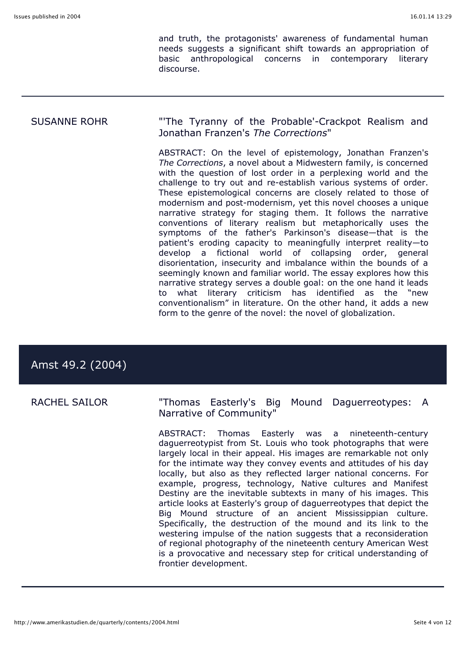and truth, the protagonists' awareness of fundamental human needs suggests a significant shift towards an appropriation of basic anthropological concerns in contemporary literary discourse.

#### SUSANNE ROHR "'The Tyranny of the Probable'-Crackpot Realism and Jonathan Franzen's *The Corrections*"

ABSTRACT: On the level of epistemology, Jonathan Franzen's *The Corrections*, a novel about a Midwestern family, is concerned with the question of lost order in a perplexing world and the challenge to try out and re-establish various systems of order. These epistemological concerns are closely related to those of modernism and post-modernism, yet this novel chooses a unique narrative strategy for staging them. It follows the narrative conventions of literary realism but metaphorically uses the symptoms of the father's Parkinson's disease—that is the patient's eroding capacity to meaningfully interpret reality—to develop a fictional world of collapsing order, general disorientation, insecurity and imbalance within the bounds of a seemingly known and familiar world. The essay explores how this narrative strategy serves a double goal: on the one hand it leads to what literary criticism has identified as the "new conventionalism" in literature. On the other hand, it adds a new form to the genre of the novel: the novel of globalization.

Amst 49.2 (2004)

### RACHEL SAILOR "Thomas Easterly's Big Mound Daguerreotypes: A Narrative of Community"

ABSTRACT: Thomas Easterly was a nineteenth-century daguerreotypist from St. Louis who took photographs that were largely local in their appeal. His images are remarkable not only for the intimate way they convey events and attitudes of his day locally, but also as they reflected larger national concerns. For example, progress, technology, Native cultures and Manifest Destiny are the inevitable subtexts in many of his images. This article looks at Easterly's group of daguerreotypes that depict the Big Mound structure of an ancient Mississippian culture. Specifically, the destruction of the mound and its link to the westering impulse of the nation suggests that a reconsideration of regional photography of the nineteenth century American West is a provocative and necessary step for critical understanding of frontier development.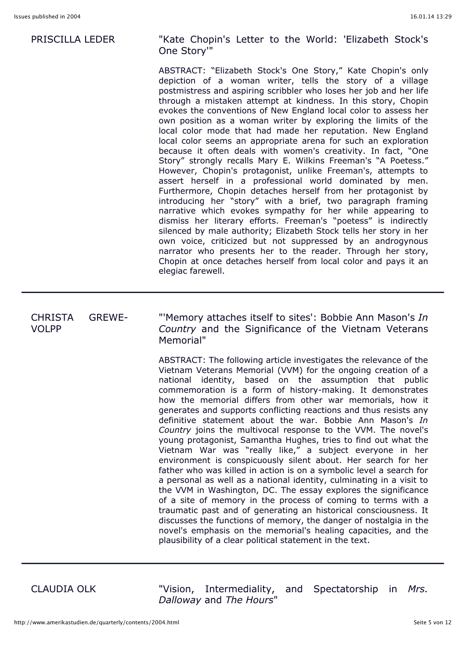PRISCILLA LEDER "Kate Chopin's Letter to the World: 'Elizabeth Stock's One Story'"

> ABSTRACT: "Elizabeth Stock's One Story," Kate Chopin's only depiction of a woman writer, tells the story of a village postmistress and aspiring scribbler who loses her job and her life through a mistaken attempt at kindness. In this story, Chopin evokes the conventions of New England local color to assess her own position as a woman writer by exploring the limits of the local color mode that had made her reputation. New England local color seems an appropriate arena for such an exploration because it often deals with women's creativity. In fact, "One Story" strongly recalls Mary E. Wilkins Freeman's "A Poetess." However, Chopin's protagonist, unlike Freeman's, attempts to assert herself in a professional world dominated by men. Furthermore, Chopin detaches herself from her protagonist by introducing her "story" with a brief, two paragraph framing narrative which evokes sympathy for her while appearing to dismiss her literary efforts. Freeman's "poetess" is indirectly silenced by male authority; Elizabeth Stock tells her story in her own voice, criticized but not suppressed by an androgynous narrator who presents her to the reader. Through her story, Chopin at once detaches herself from local color and pays it an elegiac farewell.

#### CHRISTA GREWE-VOLPP "'Memory attaches itself to sites': Bobbie Ann Mason's *In Country* and the Significance of the Vietnam Veterans Memorial"

ABSTRACT: The following article investigates the relevance of the Vietnam Veterans Memorial (VVM) for the ongoing creation of a national identity, based on the assumption that public commemoration is a form of history-making. It demonstrates how the memorial differs from other war memorials, how it generates and supports conflicting reactions and thus resists any definitive statement about the war. Bobbie Ann Mason's *In Country* joins the multivocal response to the VVM. The novel's young protagonist, Samantha Hughes, tries to find out what the Vietnam War was "really like," a subject everyone in her environment is conspicuously silent about. Her search for her father who was killed in action is on a symbolic level a search for a personal as well as a national identity, culminating in a visit to the VVM in Washington, DC. The essay explores the significance of a site of memory in the process of coming to terms with a traumatic past and of generating an historical consciousness. It discusses the functions of memory, the danger of nostalgia in the novel's emphasis on the memorial's healing capacities, and the plausibility of a clear political statement in the text.

CLAUDIA OLK "Vision, Intermediality, and Spectatorship in *Mrs. Dalloway* and *The Hours*"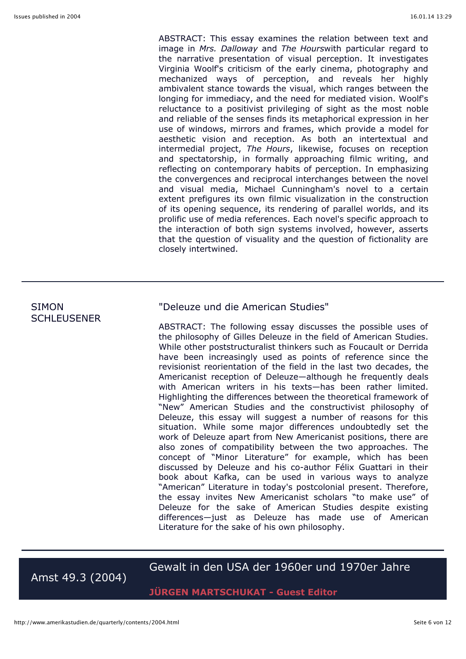ABSTRACT: This essay examines the relation between text and image in *Mrs. Dalloway* and *The Hours*with particular regard to the narrative presentation of visual perception. It investigates Virginia Woolf's criticism of the early cinema, photography and mechanized ways of perception, and reveals her highly ambivalent stance towards the visual, which ranges between the longing for immediacy, and the need for mediated vision. Woolf's reluctance to a positivist privileging of sight as the most noble and reliable of the senses finds its metaphorical expression in her use of windows, mirrors and frames, which provide a model for aesthetic vision and reception. As both an intertextual and intermedial project, *The Hours*, likewise, focuses on reception and spectatorship, in formally approaching filmic writing, and reflecting on contemporary habits of perception. In emphasizing the convergences and reciprocal interchanges between the novel and visual media, Michael Cunningham's novel to a certain extent prefigures its own filmic visualization in the construction of its opening sequence, its rendering of parallel worlds, and its prolific use of media references. Each novel's specific approach to the interaction of both sign systems involved, however, asserts that the question of visuality and the question of fictionality are closely intertwined.

### SIMON **SCHLEUSENER**

"Deleuze und die American Studies"

ABSTRACT: The following essay discusses the possible uses of the philosophy of Gilles Deleuze in the field of American Studies. While other poststructuralist thinkers such as Foucault or Derrida have been increasingly used as points of reference since the revisionist reorientation of the field in the last two decades, the Americanist reception of Deleuze—although he frequently deals with American writers in his texts—has been rather limited. Highlighting the differences between the theoretical framework of "New" American Studies and the constructivist philosophy of Deleuze, this essay will suggest a number of reasons for this situation. While some major differences undoubtedly set the work of Deleuze apart from New Americanist positions, there are also zones of compatibility between the two approaches. The concept of "Minor Literature" for example, which has been discussed by Deleuze and his co-author Félix Guattari in their book about Kafka, can be used in various ways to analyze "American" Literature in today's postcolonial present. Therefore, the essay invites New Americanist scholars "to make use" of Deleuze for the sake of American Studies despite existing differences—just as Deleuze has made use of American Literature for the sake of his own philosophy.

Amst 49.3 (2004)

Gewalt in den USA der 1960er und 1970er Jahre

**JÜRGEN MARTSCHUKAT - Guest Editor**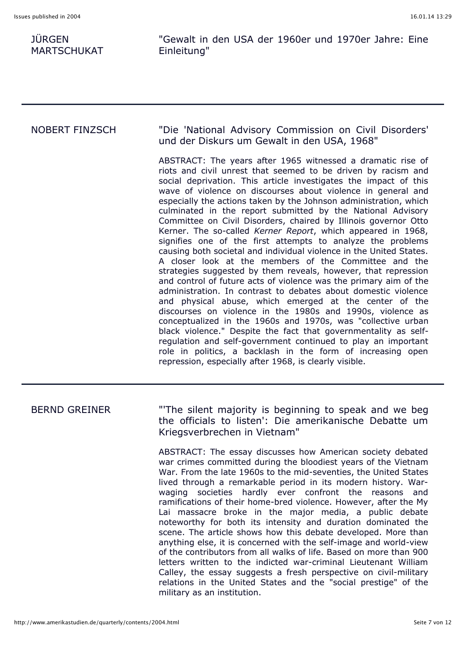| <b>JÜRGEN</b> | "Gewalt in den USA der 1960er und 1970er Jahre: Eine |
|---------------|------------------------------------------------------|
| MARTSCHUKAT   | Einleitung"                                          |
|               |                                                      |

### NOBERT FINZSCH "Die 'National Advisory Commission on Civil Disorders' und der Diskurs um Gewalt in den USA, 1968"

ABSTRACT: The years after 1965 witnessed a dramatic rise of riots and civil unrest that seemed to be driven by racism and social deprivation. This article investigates the impact of this wave of violence on discourses about violence in general and especially the actions taken by the Johnson administration, which culminated in the report submitted by the National Advisory Committee on Civil Disorders, chaired by Illinois governor Otto Kerner. The so-called *Kerner Report*, which appeared in 1968, signifies one of the first attempts to analyze the problems causing both societal and individual violence in the United States. A closer look at the members of the Committee and the strategies suggested by them reveals, however, that repression and control of future acts of violence was the primary aim of the administration. In contrast to debates about domestic violence and physical abuse, which emerged at the center of the discourses on violence in the 1980s and 1990s, violence as conceptualized in the 1960s and 1970s, was "collective urban black violence." Despite the fact that governmentality as selfregulation and self-government continued to play an important role in politics, a backlash in the form of increasing open repression, especially after 1968, is clearly visible.

BERND GREINER **The silent majority is beginning to speak and we beg** the officials to listen': Die amerikanische Debatte um Kriegsverbrechen in Vietnam"

> ABSTRACT: The essay discusses how American society debated war crimes committed during the bloodiest years of the Vietnam War. From the late 1960s to the mid-seventies, the United States lived through a remarkable period in its modern history. Warwaging societies hardly ever confront the reasons and ramifications of their home-bred violence. However, after the My Lai massacre broke in the major media, a public debate noteworthy for both its intensity and duration dominated the scene. The article shows how this debate developed. More than anything else, it is concerned with the self-image and world-view of the contributors from all walks of life. Based on more than 900 letters written to the indicted war-criminal Lieutenant William Calley, the essay suggests a fresh perspective on civil-military relations in the United States and the "social prestige" of the military as an institution.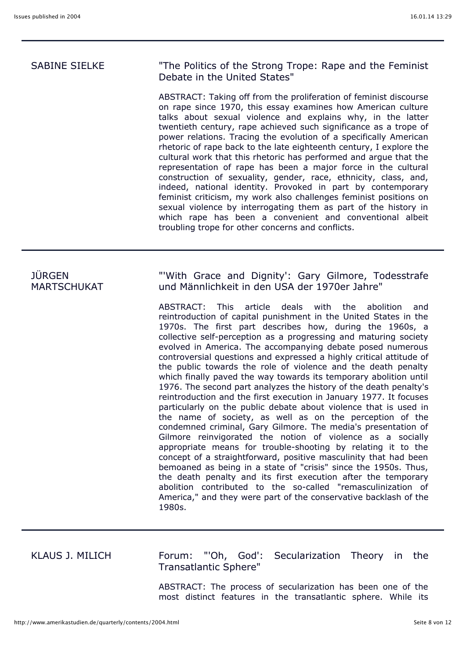SABINE SIELKE **The Politics of the Strong Trope: Rape and the Feminist** Debate in the United States"

> ABSTRACT: Taking off from the proliferation of feminist discourse on rape since 1970, this essay examines how American culture talks about sexual violence and explains why, in the latter twentieth century, rape achieved such significance as a trope of power relations. Tracing the evolution of a specifically American rhetoric of rape back to the late eighteenth century, I explore the cultural work that this rhetoric has performed and argue that the representation of rape has been a major force in the cultural construction of sexuality, gender, race, ethnicity, class, and, indeed, national identity. Provoked in part by contemporary feminist criticism, my work also challenges feminist positions on sexual violence by interrogating them as part of the history in which rape has been a convenient and conventional albeit troubling trope for other concerns and conflicts.

## JÜRGEN MARTSCHUKAT

"'With Grace and Dignity': Gary Gilmore, Todesstrafe und Männlichkeit in den USA der 1970er Jahre"

ABSTRACT: This article deals with the abolition and reintroduction of capital punishment in the United States in the 1970s. The first part describes how, during the 1960s, a collective self-perception as a progressing and maturing society evolved in America. The accompanying debate posed numerous controversial questions and expressed a highly critical attitude of the public towards the role of violence and the death penalty which finally paved the way towards its temporary abolition until 1976. The second part analyzes the history of the death penalty's reintroduction and the first execution in January 1977. It focuses particularly on the public debate about violence that is used in the name of society, as well as on the perception of the condemned criminal, Gary Gilmore. The media's presentation of Gilmore reinvigorated the notion of violence as a socially appropriate means for trouble-shooting by relating it to the concept of a straightforward, positive masculinity that had been bemoaned as being in a state of "crisis" since the 1950s. Thus, the death penalty and its first execution after the temporary abolition contributed to the so-called "remasculinization of America," and they were part of the conservative backlash of the 1980s.

KLAUS J. MILICH Forum: "'Oh, God': Secularization Theory in the Transatlantic Sphere"

> ABSTRACT: The process of secularization has been one of the most distinct features in the transatlantic sphere. While its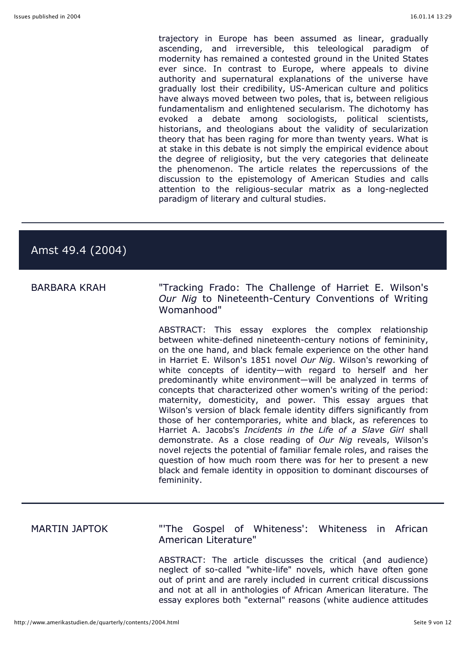trajectory in Europe has been assumed as linear, gradually ascending, and irreversible, this teleological paradigm of modernity has remained a contested ground in the United States ever since. In contrast to Europe, where appeals to divine authority and supernatural explanations of the universe have gradually lost their credibility, US-American culture and politics have always moved between two poles, that is, between religious fundamentalism and enlightened secularism. The dichotomy has evoked a debate among sociologists, political scientists, historians, and theologians about the validity of secularization theory that has been raging for more than twenty years. What is at stake in this debate is not simply the empirical evidence about the degree of religiosity, but the very categories that delineate the phenomenon. The article relates the repercussions of the discussion to the epistemology of American Studies and calls attention to the religious-secular matrix as a long-neglected paradigm of literary and cultural studies.

# Amst 49.4 (2004)

BARBARA KRAH "Tracking Frado: The Challenge of Harriet E. Wilson's *Our Nig* to Nineteenth-Century Conventions of Writing Womanhood"

> ABSTRACT: This essay explores the complex relationship between white-defined nineteenth-century notions of femininity, on the one hand, and black female experience on the other hand in Harriet E. Wilson's 1851 novel *Our Nig*. Wilson's reworking of white concepts of identity—with regard to herself and her predominantly white environment—will be analyzed in terms of concepts that characterized other women's writing of the period: maternity, domesticity, and power. This essay argues that Wilson's version of black female identity differs significantly from those of her contemporaries, white and black, as references to Harriet A. Jacobs's *Incidents in the Life of a Slave Girl* shall demonstrate. As a close reading of *Our Nig* reveals, Wilson's novel rejects the potential of familiar female roles, and raises the question of how much room there was for her to present a new black and female identity in opposition to dominant discourses of femininity.

# MARTIN JAPTOK "'The Gospel of Whiteness': Whiteness in African American Literature"

ABSTRACT: The article discusses the critical (and audience) neglect of so-called "white-life" novels, which have often gone out of print and are rarely included in current critical discussions and not at all in anthologies of African American literature. The essay explores both "external" reasons (white audience attitudes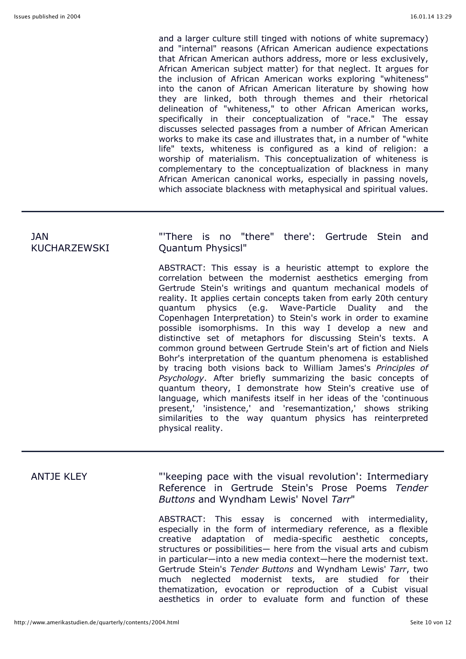and a larger culture still tinged with notions of white supremacy) and "internal" reasons (African American audience expectations that African American authors address, more or less exclusively, African American subject matter) for that neglect. It argues for the inclusion of African American works exploring "whiteness" into the canon of African American literature by showing how they are linked, both through themes and their rhetorical delineation of "whiteness," to other African American works, specifically in their conceptualization of "race." The essay discusses selected passages from a number of African American works to make its case and illustrates that, in a number of "white life" texts, whiteness is configured as a kind of religion: a worship of materialism. This conceptualization of whiteness is complementary to the conceptualization of blackness in many African American canonical works, especially in passing novels, which associate blackness with metaphysical and spiritual values.

| <b>JAN</b>          | "There is no "there" there': Gertrude Stein and                                                                                                                                                                                                                                                                                                                                                                                                                                                                                                                                                                                                                                                                                                                                                                                                                                                                                                                                                                                                                         |
|---------------------|-------------------------------------------------------------------------------------------------------------------------------------------------------------------------------------------------------------------------------------------------------------------------------------------------------------------------------------------------------------------------------------------------------------------------------------------------------------------------------------------------------------------------------------------------------------------------------------------------------------------------------------------------------------------------------------------------------------------------------------------------------------------------------------------------------------------------------------------------------------------------------------------------------------------------------------------------------------------------------------------------------------------------------------------------------------------------|
| <b>KUCHARZEWSKI</b> | Quantum Physicsl"                                                                                                                                                                                                                                                                                                                                                                                                                                                                                                                                                                                                                                                                                                                                                                                                                                                                                                                                                                                                                                                       |
|                     | ABSTRACT: This essay is a heuristic attempt to explore the<br>correlation between the modernist aesthetics emerging from<br>Gertrude Stein's writings and quantum mechanical models of<br>reality. It applies certain concepts taken from early 20th century<br>quantum physics (e.g. Wave-Particle Duality and the<br>Copenhagen Interpretation) to Stein's work in order to examine<br>possible isomorphisms. In this way I develop a new and<br>distinctive set of metaphors for discussing Stein's texts. A<br>common ground between Gertrude Stein's art of fiction and Niels<br>Bohr's interpretation of the quantum phenomena is established<br>by tracing both visions back to William James's Principles of<br>Psychology. After briefly summarizing the basic concepts of<br>quantum theory, I demonstrate how Stein's creative use of<br>language, which manifests itself in her ideas of the 'continuous<br>present,' 'insistence,' and 'resemantization,' shows striking<br>similarities to the way quantum physics has reinterpreted<br>physical reality. |

ANTJE KLEY "'keeping pace with the visual revolution': Intermediary Reference in Gertrude Stein's Prose Poems *Tender Buttons* and Wyndham Lewis' Novel *Tarr*"

> ABSTRACT: This essay is concerned with intermediality, especially in the form of intermediary reference, as a flexible creative adaptation of media-specific aesthetic concepts, structures or possibilities— here from the visual arts and cubism in particular—into a new media context—here the modernist text. Gertrude Stein's *Tender Buttons* and Wyndham Lewis' *Tarr*, two much neglected modernist texts, are studied for their thematization, evocation or reproduction of a Cubist visual aesthetics in order to evaluate form and function of these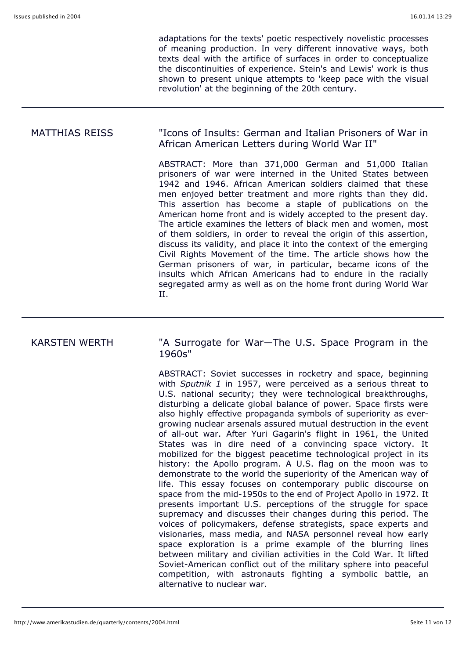adaptations for the texts' poetic respectively novelistic processes of meaning production. In very different innovative ways, both texts deal with the artifice of surfaces in order to conceptualize the discontinuities of experience. Stein's and Lewis' work is thus shown to present unique attempts to 'keep pace with the visual revolution' at the beginning of the 20th century.

# MATTHIAS REISS The "Icons of Insults: German and Italian Prisoners of War in African American Letters during World War II"

ABSTRACT: More than 371,000 German and 51,000 Italian prisoners of war were interned in the United States between 1942 and 1946. African American soldiers claimed that these men enjoyed better treatment and more rights than they did. This assertion has become a staple of publications on the American home front and is widely accepted to the present day. The article examines the letters of black men and women, most of them soldiers, in order to reveal the origin of this assertion, discuss its validity, and place it into the context of the emerging Civil Rights Movement of the time. The article shows how the German prisoners of war, in particular, became icons of the insults which African Americans had to endure in the racially segregated army as well as on the home front during World War II.

#### KARSTEN WERTH "A Surrogate for War—The U.S. Space Program in the 1960s"

ABSTRACT: Soviet successes in rocketry and space, beginning with *Sputnik 1* in 1957, were perceived as a serious threat to U.S. national security; they were technological breakthroughs, disturbing a delicate global balance of power. Space firsts were also highly effective propaganda symbols of superiority as evergrowing nuclear arsenals assured mutual destruction in the event of all-out war. After Yuri Gagarin's flight in 1961, the United States was in dire need of a convincing space victory. It mobilized for the biggest peacetime technological project in its history: the Apollo program. A U.S. flag on the moon was to demonstrate to the world the superiority of the American way of life. This essay focuses on contemporary public discourse on space from the mid-1950s to the end of Project Apollo in 1972. It presents important U.S. perceptions of the struggle for space supremacy and discusses their changes during this period. The voices of policymakers, defense strategists, space experts and visionaries, mass media, and NASA personnel reveal how early space exploration is a prime example of the blurring lines between military and civilian activities in the Cold War. It lifted Soviet-American conflict out of the military sphere into peaceful competition, with astronauts fighting a symbolic battle, an alternative to nuclear war.